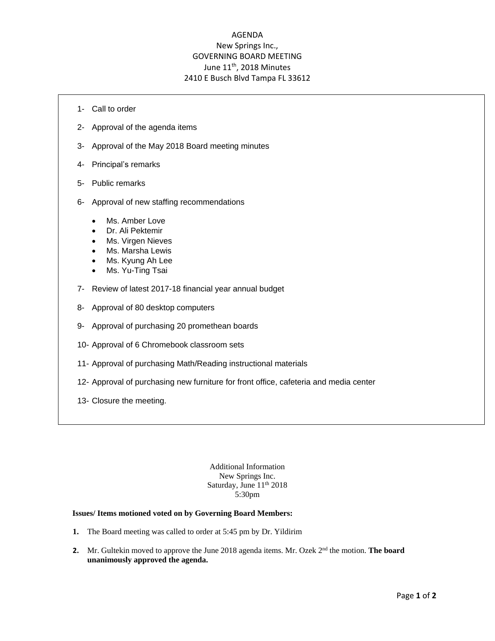## AGENDA New Springs Inc., GOVERNING BOARD MEETING June 11<sup>th</sup>, 2018 Minutes 2410 E Busch Blvd Tampa FL 33612

- 1- Call to order
- 2- Approval of the agenda items
- 3- Approval of the May 2018 Board meeting minutes
- 4- Principal's remarks
- 5- Public remarks
- 6- Approval of new staffing recommendations
	- Ms. Amber Love
	- Dr. Ali Pektemir
	- Ms. Virgen Nieves
	- Ms. Marsha Lewis
	- Ms. Kyung Ah Lee
	- Ms. Yu-Ting Tsai
- 7- Review of latest 2017-18 financial year annual budget
- 8- Approval of 80 desktop computers
- 9- Approval of purchasing 20 promethean boards
- 10- Approval of 6 Chromebook classroom sets
- 11- Approval of purchasing Math/Reading instructional materials
- 12- Approval of purchasing new furniture for front office, cafeteria and media center
- 13- Closure the meeting.

Additional Information New Springs Inc. Saturday, June 11<sup>th</sup> 2018 5:30pm

## **Issues/ Items motioned voted on by Governing Board Members:**

- **1.** The Board meeting was called to order at 5:45 pm by Dr. Yildirim
- 2. Mr. Gultekin moved to approve the June 2018 agenda items. Mr. Ozek 2<sup>nd</sup> the motion. The board **unanimously approved the agenda.**